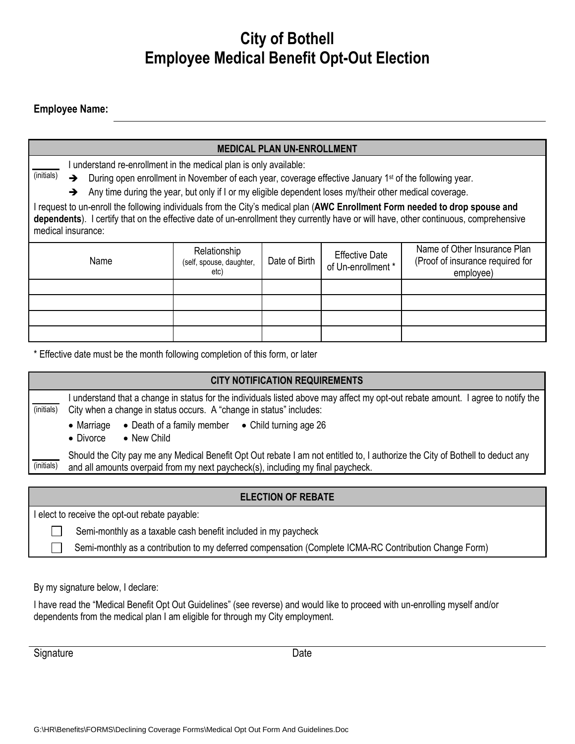# **City of Bothell Employee Medical Benefit Opt-Out Election**

#### **Employee Name:**

| <b>MEDICAL PLAN UN-ENROLLMENT</b>                                                                                                                                                                                                                                                          |                                                                                                                                  |               |                                                                                                        |                                                                               |  |  |
|--------------------------------------------------------------------------------------------------------------------------------------------------------------------------------------------------------------------------------------------------------------------------------------------|----------------------------------------------------------------------------------------------------------------------------------|---------------|--------------------------------------------------------------------------------------------------------|-------------------------------------------------------------------------------|--|--|
| I understand re-enrollment in the medical plan is only available:                                                                                                                                                                                                                          |                                                                                                                                  |               |                                                                                                        |                                                                               |  |  |
| $\rightarrow$                                                                                                                                                                                                                                                                              | (initials)<br>During open enrollment in November of each year, coverage effective January 1 <sup>st</sup> of the following year. |               |                                                                                                        |                                                                               |  |  |
| Any time during the year, but only if I or my eligible dependent loses my/their other medical coverage.<br>→                                                                                                                                                                               |                                                                                                                                  |               |                                                                                                        |                                                                               |  |  |
| I request to un-enroll the following individuals from the City's medical plan (AWC Enrollment Form needed to drop spouse and<br>dependents). I certify that on the effective date of un-enrollment they currently have or will have, other continuous, comprehensive<br>medical insurance: |                                                                                                                                  |               |                                                                                                        |                                                                               |  |  |
| Name                                                                                                                                                                                                                                                                                       | Relationship<br>(self, spouse, daughter,<br>etc)                                                                                 | Date of Birth | <b>Effective Date</b><br>of Un-enrollment *                                                            | Name of Other Insurance Plan<br>(Proof of insurance required for<br>employee) |  |  |
|                                                                                                                                                                                                                                                                                            |                                                                                                                                  |               |                                                                                                        |                                                                               |  |  |
|                                                                                                                                                                                                                                                                                            |                                                                                                                                  |               |                                                                                                        |                                                                               |  |  |
|                                                                                                                                                                                                                                                                                            |                                                                                                                                  |               |                                                                                                        |                                                                               |  |  |
|                                                                                                                                                                                                                                                                                            |                                                                                                                                  |               |                                                                                                        |                                                                               |  |  |
| * Effective date must be the month following completion of this form, or later                                                                                                                                                                                                             |                                                                                                                                  |               |                                                                                                        |                                                                               |  |  |
| <b>CITY NOTIFICATION REQUIREMENTS</b>                                                                                                                                                                                                                                                      |                                                                                                                                  |               |                                                                                                        |                                                                               |  |  |
| I understand that a change in status for the individuals listed above may affect my opt-out rebate amount. I agree to notify the<br>(initials)<br>City when a change in status occurs. A "change in status" includes:<br>• Marriage • Death of a family member • Child turning age 26      |                                                                                                                                  |               |                                                                                                        |                                                                               |  |  |
| $\bullet$ Divorce<br>• New Child                                                                                                                                                                                                                                                           |                                                                                                                                  |               |                                                                                                        |                                                                               |  |  |
| Should the City pay me any Medical Benefit Opt Out rebate I am not entitled to, I authorize the City of Bothell to deduct any<br>(initials)<br>and all amounts overpaid from my next paycheck(s), including my final paycheck.                                                             |                                                                                                                                  |               |                                                                                                        |                                                                               |  |  |
| <b>ELECTION OF REBATE</b>                                                                                                                                                                                                                                                                  |                                                                                                                                  |               |                                                                                                        |                                                                               |  |  |
| I elect to receive the opt-out rebate payable:                                                                                                                                                                                                                                             |                                                                                                                                  |               |                                                                                                        |                                                                               |  |  |
| Semi-monthly as a taxable cash benefit included in my paycheck                                                                                                                                                                                                                             |                                                                                                                                  |               |                                                                                                        |                                                                               |  |  |
|                                                                                                                                                                                                                                                                                            |                                                                                                                                  |               | Semi-monthly as a contribution to my deferred compensation (Complete ICMA-RC Contribution Change Form) |                                                                               |  |  |

By my signature below, I declare:

I have read the "Medical Benefit Opt Out Guidelines" (see reverse) and would like to proceed with un-enrolling myself and/or dependents from the medical plan I am eligible for through my City employment.

Signature Date